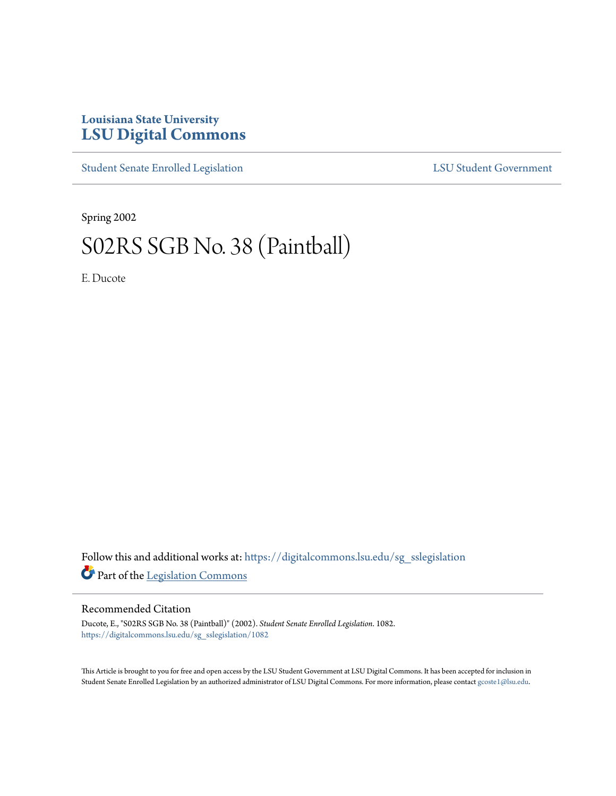## **Louisiana State University [LSU Digital Commons](https://digitalcommons.lsu.edu?utm_source=digitalcommons.lsu.edu%2Fsg_sslegislation%2F1082&utm_medium=PDF&utm_campaign=PDFCoverPages)**

[Student Senate Enrolled Legislation](https://digitalcommons.lsu.edu/sg_sslegislation?utm_source=digitalcommons.lsu.edu%2Fsg_sslegislation%2F1082&utm_medium=PDF&utm_campaign=PDFCoverPages) [LSU Student Government](https://digitalcommons.lsu.edu/sg?utm_source=digitalcommons.lsu.edu%2Fsg_sslegislation%2F1082&utm_medium=PDF&utm_campaign=PDFCoverPages)

Spring 2002

## S02RS SGB No. 38 (Paintball)

E. Ducote

Follow this and additional works at: [https://digitalcommons.lsu.edu/sg\\_sslegislation](https://digitalcommons.lsu.edu/sg_sslegislation?utm_source=digitalcommons.lsu.edu%2Fsg_sslegislation%2F1082&utm_medium=PDF&utm_campaign=PDFCoverPages) Part of the [Legislation Commons](http://network.bepress.com/hgg/discipline/859?utm_source=digitalcommons.lsu.edu%2Fsg_sslegislation%2F1082&utm_medium=PDF&utm_campaign=PDFCoverPages)

## Recommended Citation

Ducote, E., "S02RS SGB No. 38 (Paintball)" (2002). *Student Senate Enrolled Legislation*. 1082. [https://digitalcommons.lsu.edu/sg\\_sslegislation/1082](https://digitalcommons.lsu.edu/sg_sslegislation/1082?utm_source=digitalcommons.lsu.edu%2Fsg_sslegislation%2F1082&utm_medium=PDF&utm_campaign=PDFCoverPages)

This Article is brought to you for free and open access by the LSU Student Government at LSU Digital Commons. It has been accepted for inclusion in Student Senate Enrolled Legislation by an authorized administrator of LSU Digital Commons. For more information, please contact [gcoste1@lsu.edu.](mailto:gcoste1@lsu.edu)